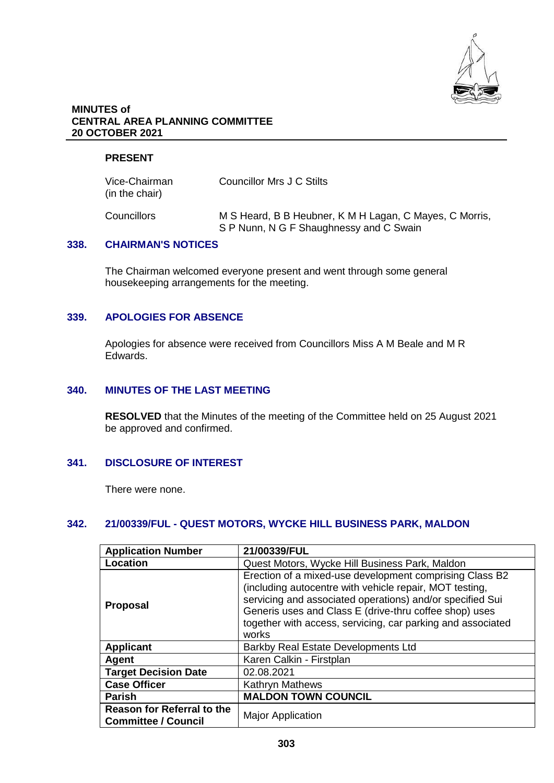

## **MINUTES of CENTRAL AREA PLANNING COMMITTEE 20 OCTOBER 2021**

## **PRESENT**

| Vice-Chairman<br>(in the chair) | Councillor Mrs J C Stilts                                                                          |
|---------------------------------|----------------------------------------------------------------------------------------------------|
| Councillors                     | M S Heard, B B Heubner, K M H Lagan, C Mayes, C Morris,<br>S P Nunn, N G F Shaughnessy and C Swain |

## **338. CHAIRMAN'S NOTICES**

The Chairman welcomed everyone present and went through some general housekeeping arrangements for the meeting.

## **339. APOLOGIES FOR ABSENCE**

Apologies for absence were received from Councillors Miss A M Beale and M R Edwards.

#### **340. MINUTES OF THE LAST MEETING**

**RESOLVED** that the Minutes of the meeting of the Committee held on 25 August 2021 be approved and confirmed.

## **341. DISCLOSURE OF INTEREST**

There were none.

# **342. 21/00339/FUL - QUEST MOTORS, WYCKE HILL BUSINESS PARK, MALDON**

| <b>Application Number</b>                                       | 21/00339/FUL                                                                                                                                                                                                                                                                                                      |
|-----------------------------------------------------------------|-------------------------------------------------------------------------------------------------------------------------------------------------------------------------------------------------------------------------------------------------------------------------------------------------------------------|
| Location                                                        | Quest Motors, Wycke Hill Business Park, Maldon                                                                                                                                                                                                                                                                    |
| <b>Proposal</b>                                                 | Erection of a mixed-use development comprising Class B2<br>(including autocentre with vehicle repair, MOT testing,<br>servicing and associated operations) and/or specified Sui<br>Generis uses and Class E (drive-thru coffee shop) uses<br>together with access, servicing, car parking and associated<br>works |
| <b>Applicant</b>                                                | <b>Barkby Real Estate Developments Ltd</b>                                                                                                                                                                                                                                                                        |
| Agent                                                           | Karen Calkin - Firstplan                                                                                                                                                                                                                                                                                          |
| <b>Target Decision Date</b>                                     | 02.08.2021                                                                                                                                                                                                                                                                                                        |
| <b>Case Officer</b>                                             | <b>Kathryn Mathews</b>                                                                                                                                                                                                                                                                                            |
| <b>Parish</b>                                                   | <b>MALDON TOWN COUNCIL</b>                                                                                                                                                                                                                                                                                        |
| <b>Reason for Referral to the</b><br><b>Committee / Council</b> | <b>Major Application</b>                                                                                                                                                                                                                                                                                          |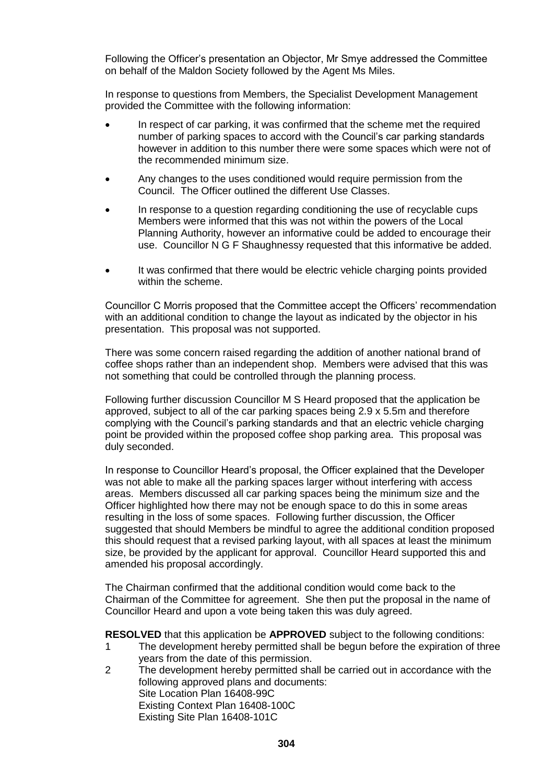Following the Officer's presentation an Objector, Mr Smye addressed the Committee on behalf of the Maldon Society followed by the Agent Ms Miles.

In response to questions from Members, the Specialist Development Management provided the Committee with the following information:

- In respect of car parking, it was confirmed that the scheme met the required number of parking spaces to accord with the Council's car parking standards however in addition to this number there were some spaces which were not of the recommended minimum size.
- Any changes to the uses conditioned would require permission from the Council. The Officer outlined the different Use Classes.
- In response to a question regarding conditioning the use of recyclable cups Members were informed that this was not within the powers of the Local Planning Authority, however an informative could be added to encourage their use. Councillor N G F Shaughnessy requested that this informative be added.
- It was confirmed that there would be electric vehicle charging points provided within the scheme.

Councillor C Morris proposed that the Committee accept the Officers' recommendation with an additional condition to change the layout as indicated by the objector in his presentation. This proposal was not supported.

There was some concern raised regarding the addition of another national brand of coffee shops rather than an independent shop. Members were advised that this was not something that could be controlled through the planning process.

Following further discussion Councillor M S Heard proposed that the application be approved, subject to all of the car parking spaces being 2.9 x 5.5m and therefore complying with the Council's parking standards and that an electric vehicle charging point be provided within the proposed coffee shop parking area. This proposal was duly seconded.

In response to Councillor Heard's proposal, the Officer explained that the Developer was not able to make all the parking spaces larger without interfering with access areas. Members discussed all car parking spaces being the minimum size and the Officer highlighted how there may not be enough space to do this in some areas resulting in the loss of some spaces. Following further discussion, the Officer suggested that should Members be mindful to agree the additional condition proposed this should request that a revised parking layout, with all spaces at least the minimum size, be provided by the applicant for approval. Councillor Heard supported this and amended his proposal accordingly.

The Chairman confirmed that the additional condition would come back to the Chairman of the Committee for agreement. She then put the proposal in the name of Councillor Heard and upon a vote being taken this was duly agreed.

**RESOLVED** that this application be **APPROVED** subject to the following conditions:

- 1 The development hereby permitted shall be begun before the expiration of three years from the date of this permission.
- 2 The development hereby permitted shall be carried out in accordance with the following approved plans and documents: Site Location Plan 16408-99C Existing Context Plan 16408-100C Existing Site Plan 16408-101C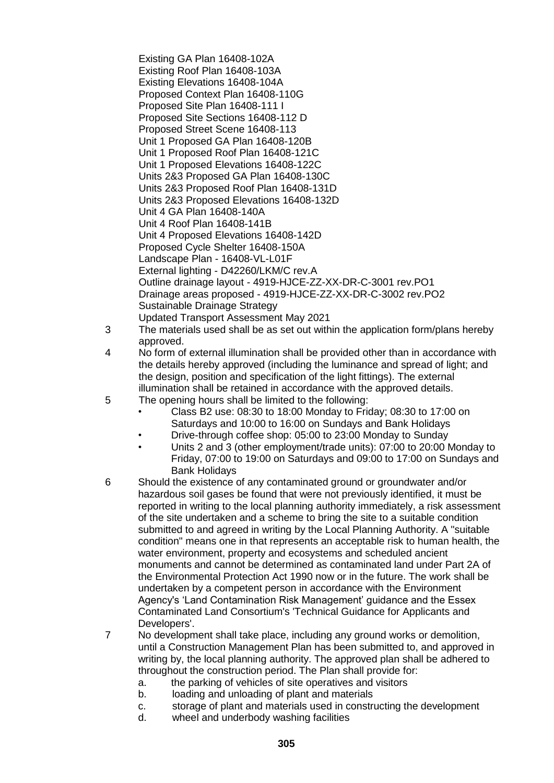Existing GA Plan 16408-102A Existing Roof Plan 16408-103A Existing Elevations 16408-104A Proposed Context Plan 16408-110G Proposed Site Plan 16408-111 I Proposed Site Sections 16408-112 D Proposed Street Scene 16408-113 Unit 1 Proposed GA Plan 16408-120B Unit 1 Proposed Roof Plan 16408-121C Unit 1 Proposed Elevations 16408-122C Units 2&3 Proposed GA Plan 16408-130C Units 2&3 Proposed Roof Plan 16408-131D Units 2&3 Proposed Elevations 16408-132D Unit 4 GA Plan 16408-140A Unit 4 Roof Plan 16408-141B Unit 4 Proposed Elevations 16408-142D Proposed Cycle Shelter 16408-150A Landscape Plan - 16408-VL-L01F External lighting - D42260/LKM/C rev.A Outline drainage layout - 4919-HJCE-ZZ-XX-DR-C-3001 rev.PO1 Drainage areas proposed - 4919-HJCE-ZZ-XX-DR-C-3002 rev.PO2 Sustainable Drainage Strategy Updated Transport Assessment May 2021

- 3 The materials used shall be as set out within the application form/plans hereby approved.
- 4 No form of external illumination shall be provided other than in accordance with the details hereby approved (including the luminance and spread of light; and the design, position and specification of the light fittings). The external illumination shall be retained in accordance with the approved details.
- 5 The opening hours shall be limited to the following:
	- Class B2 use: 08:30 to 18:00 Monday to Friday; 08:30 to 17:00 on Saturdays and 10:00 to 16:00 on Sundays and Bank Holidays
	- Drive-through coffee shop: 05:00 to 23:00 Monday to Sunday
	- Units 2 and 3 (other employment/trade units): 07:00 to 20:00 Monday to Friday, 07:00 to 19:00 on Saturdays and 09:00 to 17:00 on Sundays and Bank Holidays
- 6 Should the existence of any contaminated ground or groundwater and/or hazardous soil gases be found that were not previously identified, it must be reported in writing to the local planning authority immediately, a risk assessment of the site undertaken and a scheme to bring the site to a suitable condition submitted to and agreed in writing by the Local Planning Authority. A "suitable condition" means one in that represents an acceptable risk to human health, the water environment, property and ecosystems and scheduled ancient monuments and cannot be determined as contaminated land under Part 2A of the Environmental Protection Act 1990 now or in the future. The work shall be undertaken by a competent person in accordance with the Environment Agency's 'Land Contamination Risk Management' guidance and the Essex Contaminated Land Consortium's 'Technical Guidance for Applicants and Developers'.
- 7 No development shall take place, including any ground works or demolition, until a Construction Management Plan has been submitted to, and approved in writing by, the local planning authority. The approved plan shall be adhered to throughout the construction period. The Plan shall provide for:
	- a. the parking of vehicles of site operatives and visitors
	- b. loading and unloading of plant and materials
	- c. storage of plant and materials used in constructing the development
	- d. wheel and underbody washing facilities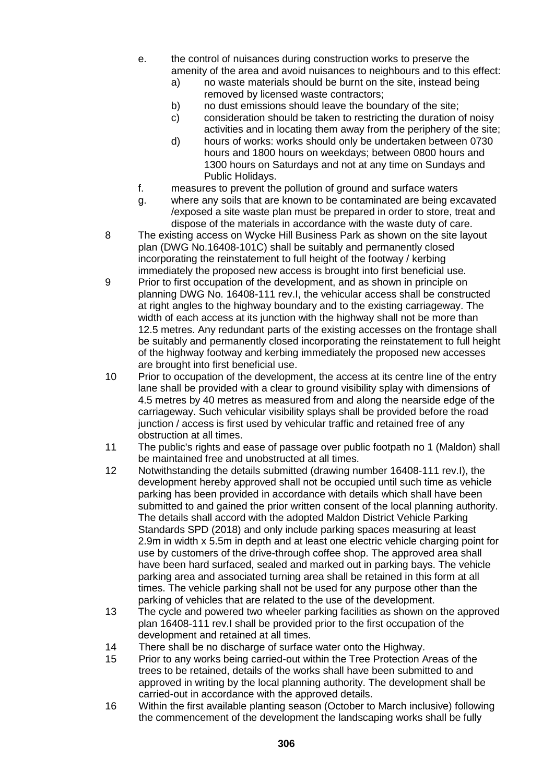- e. the control of nuisances during construction works to preserve the amenity of the area and avoid nuisances to neighbours and to this effect:
	- a) no waste materials should be burnt on the site, instead being removed by licensed waste contractors;
	- b) no dust emissions should leave the boundary of the site;
	- c) consideration should be taken to restricting the duration of noisy activities and in locating them away from the periphery of the site;
	- d) hours of works: works should only be undertaken between 0730 hours and 1800 hours on weekdays; between 0800 hours and 1300 hours on Saturdays and not at any time on Sundays and Public Holidays.
- f. measures to prevent the pollution of ground and surface waters
- g. where any soils that are known to be contaminated are being excavated /exposed a site waste plan must be prepared in order to store, treat and dispose of the materials in accordance with the waste duty of care.
- 8 The existing access on Wycke Hill Business Park as shown on the site layout plan (DWG No.16408-101C) shall be suitably and permanently closed incorporating the reinstatement to full height of the footway / kerbing immediately the proposed new access is brought into first beneficial use.
- 9 Prior to first occupation of the development, and as shown in principle on planning DWG No. 16408-111 rev.I, the vehicular access shall be constructed at right angles to the highway boundary and to the existing carriageway. The width of each access at its junction with the highway shall not be more than 12.5 metres. Any redundant parts of the existing accesses on the frontage shall be suitably and permanently closed incorporating the reinstatement to full height of the highway footway and kerbing immediately the proposed new accesses are brought into first beneficial use.
- 10 Prior to occupation of the development, the access at its centre line of the entry lane shall be provided with a clear to ground visibility splay with dimensions of 4.5 metres by 40 metres as measured from and along the nearside edge of the carriageway. Such vehicular visibility splays shall be provided before the road junction / access is first used by vehicular traffic and retained free of any obstruction at all times.
- 11 The public's rights and ease of passage over public footpath no 1 (Maldon) shall be maintained free and unobstructed at all times.
- 12 Notwithstanding the details submitted (drawing number 16408-111 rev.I), the development hereby approved shall not be occupied until such time as vehicle parking has been provided in accordance with details which shall have been submitted to and gained the prior written consent of the local planning authority. The details shall accord with the adopted Maldon District Vehicle Parking Standards SPD (2018) and only include parking spaces measuring at least 2.9m in width x 5.5m in depth and at least one electric vehicle charging point for use by customers of the drive-through coffee shop. The approved area shall have been hard surfaced, sealed and marked out in parking bays. The vehicle parking area and associated turning area shall be retained in this form at all times. The vehicle parking shall not be used for any purpose other than the parking of vehicles that are related to the use of the development.
- 13 The cycle and powered two wheeler parking facilities as shown on the approved plan 16408-111 rev.I shall be provided prior to the first occupation of the development and retained at all times.
- 14 There shall be no discharge of surface water onto the Highway.
- 15 Prior to any works being carried-out within the Tree Protection Areas of the trees to be retained, details of the works shall have been submitted to and approved in writing by the local planning authority. The development shall be carried-out in accordance with the approved details.
- 16 Within the first available planting season (October to March inclusive) following the commencement of the development the landscaping works shall be fully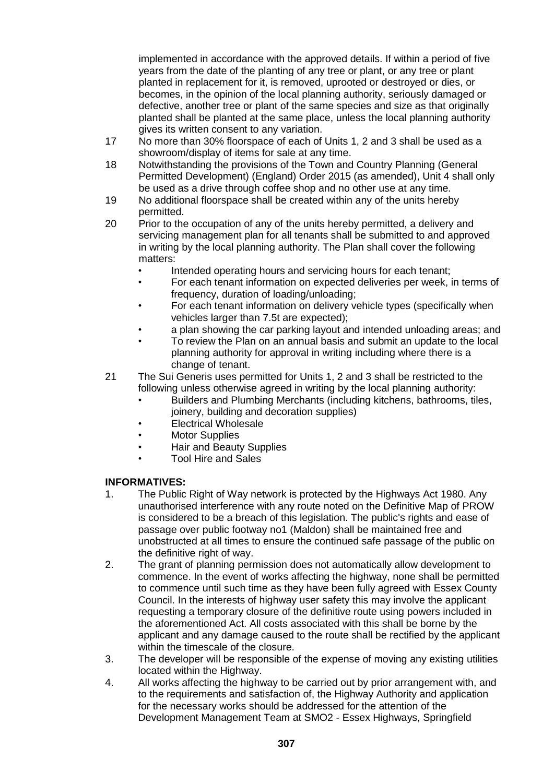implemented in accordance with the approved details. If within a period of five years from the date of the planting of any tree or plant, or any tree or plant planted in replacement for it, is removed, uprooted or destroyed or dies, or becomes, in the opinion of the local planning authority, seriously damaged or defective, another tree or plant of the same species and size as that originally planted shall be planted at the same place, unless the local planning authority gives its written consent to any variation.

- 17 No more than 30% floorspace of each of Units 1, 2 and 3 shall be used as a showroom/display of items for sale at any time.
- 18 Notwithstanding the provisions of the Town and Country Planning (General Permitted Development) (England) Order 2015 (as amended), Unit 4 shall only be used as a drive through coffee shop and no other use at any time.
- 19 No additional floorspace shall be created within any of the units hereby permitted.
- 20 Prior to the occupation of any of the units hereby permitted, a delivery and servicing management plan for all tenants shall be submitted to and approved in writing by the local planning authority. The Plan shall cover the following matters:
	- Intended operating hours and servicing hours for each tenant;
	- For each tenant information on expected deliveries per week, in terms of frequency, duration of loading/unloading;
	- For each tenant information on delivery vehicle types (specifically when vehicles larger than 7.5t are expected);
	- a plan showing the car parking layout and intended unloading areas; and
	- To review the Plan on an annual basis and submit an update to the local planning authority for approval in writing including where there is a change of tenant.
- 21 The Sui Generis uses permitted for Units 1, 2 and 3 shall be restricted to the following unless otherwise agreed in writing by the local planning authority:
	- Builders and Plumbing Merchants (including kitchens, bathrooms, tiles, joinery, building and decoration supplies)
	- Electrical Wholesale
	- Motor Supplies
	- Hair and Beauty Supplies
		- Tool Hire and Sales

## **INFORMATIVES:**

- 1. The Public Right of Way network is protected by the Highways Act 1980. Any unauthorised interference with any route noted on the Definitive Map of PROW is considered to be a breach of this legislation. The public's rights and ease of passage over public footway no1 (Maldon) shall be maintained free and unobstructed at all times to ensure the continued safe passage of the public on the definitive right of way.
- 2. The grant of planning permission does not automatically allow development to commence. In the event of works affecting the highway, none shall be permitted to commence until such time as they have been fully agreed with Essex County Council. In the interests of highway user safety this may involve the applicant requesting a temporary closure of the definitive route using powers included in the aforementioned Act. All costs associated with this shall be borne by the applicant and any damage caused to the route shall be rectified by the applicant within the timescale of the closure.
- 3. The developer will be responsible of the expense of moving any existing utilities located within the Highway.
- 4. All works affecting the highway to be carried out by prior arrangement with, and to the requirements and satisfaction of, the Highway Authority and application for the necessary works should be addressed for the attention of the Development Management Team at SMO2 - Essex Highways, Springfield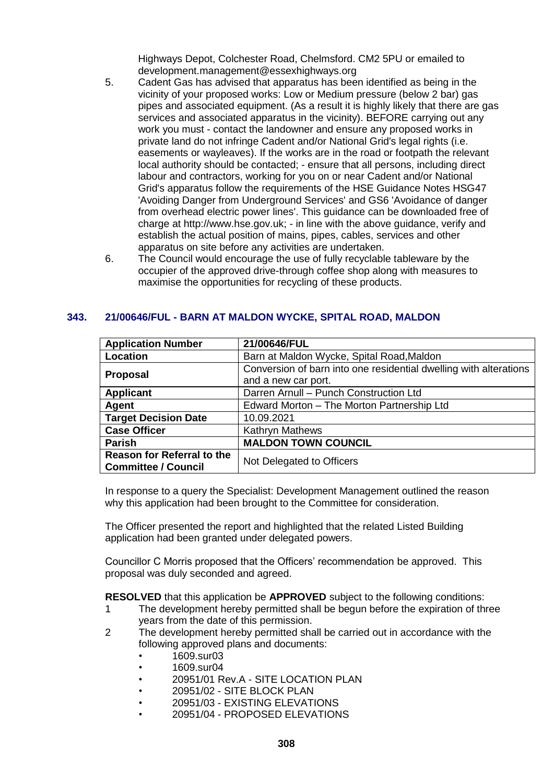Highways Depot, Colchester Road, Chelmsford. CM2 5PU or emailed to development.management@essexhighways.org

- 5. Cadent Gas has advised that apparatus has been identified as being in the vicinity of your proposed works: Low or Medium pressure (below 2 bar) gas pipes and associated equipment. (As a result it is highly likely that there are gas services and associated apparatus in the vicinity). BEFORE carrying out any work you must - contact the landowner and ensure any proposed works in private land do not infringe Cadent and/or National Grid's legal rights (i.e. easements or wayleaves). If the works are in the road or footpath the relevant local authority should be contacted; - ensure that all persons, including direct labour and contractors, working for you on or near Cadent and/or National Grid's apparatus follow the requirements of the HSE Guidance Notes HSG47 'Avoiding Danger from Underground Services' and GS6 'Avoidance of danger from overhead electric power lines'. This guidance can be downloaded free of charge at http://www.hse.gov.uk; - in line with the above guidance, verify and establish the actual position of mains, pipes, cables, services and other apparatus on site before any activities are undertaken.
- 6. The Council would encourage the use of fully recyclable tableware by the occupier of the approved drive-through coffee shop along with measures to maximise the opportunities for recycling of these products.

## **343. 21/00646/FUL - BARN AT MALDON WYCKE, SPITAL ROAD, MALDON**

| <b>Application Number</b>         | 21/00646/FUL                                                      |
|-----------------------------------|-------------------------------------------------------------------|
| Location                          | Barn at Maldon Wycke, Spital Road, Maldon                         |
| <b>Proposal</b>                   | Conversion of barn into one residential dwelling with alterations |
|                                   | and a new car port.                                               |
| <b>Applicant</b>                  | Darren Arnull - Punch Construction Ltd                            |
| Agent                             | Edward Morton - The Morton Partnership Ltd                        |
| <b>Target Decision Date</b>       | 10.09.2021                                                        |
| <b>Case Officer</b>               | Kathryn Mathews                                                   |
| <b>Parish</b>                     | <b>MALDON TOWN COUNCIL</b>                                        |
| <b>Reason for Referral to the</b> | Not Delegated to Officers                                         |
| <b>Committee / Council</b>        |                                                                   |

In response to a query the Specialist: Development Management outlined the reason why this application had been brought to the Committee for consideration.

The Officer presented the report and highlighted that the related Listed Building application had been granted under delegated powers.

Councillor C Morris proposed that the Officers' recommendation be approved. This proposal was duly seconded and agreed.

**RESOLVED** that this application be **APPROVED** subject to the following conditions:

- 1 The development hereby permitted shall be begun before the expiration of three years from the date of this permission.
- 2 The development hereby permitted shall be carried out in accordance with the following approved plans and documents:
	- 1609.sur03
	- 1609.sur04
	- 20951/01 Rev.A SITE LOCATION PLAN
	- 20951/02 SITE BLOCK PLAN
	- 20951/03 EXISTING ELEVATIONS
	- 20951/04 PROPOSED ELEVATIONS